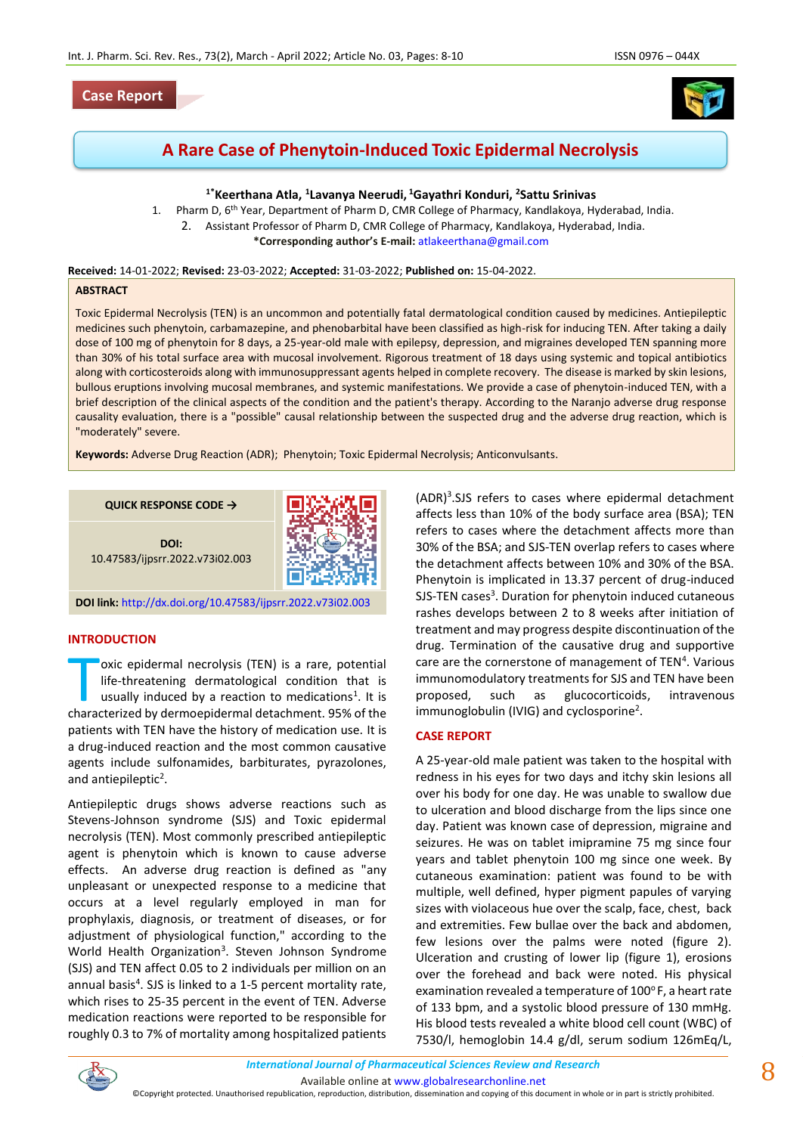## **Case Report**



# **A Rare Case of Phenytoin-Induced Toxic Epidermal Necrolysis**

## **1\*Keerthana Atla, <sup>1</sup> Lavanya Neerudi, <sup>1</sup>Gayathri Konduri, <sup>2</sup>Sattu Srinivas**

1. Pharm D, 6<sup>th</sup> Year, Department of Pharm D, CMR College of Pharmacy, Kandlakoya, Hyderabad, India. 2. Assistant Professor of Pharm D, CMR College of Pharmacy, Kandlakoya, Hyderabad, India. **\*Corresponding author's E-mail:** [atlakeerthana@gmail.com](mailto:atlakeerthana@gmail.com)

**Received:** 14-01-2022; **Revised:** 23-03-2022; **Accepted:** 31-03-2022; **Published on:** 15-04-2022.

## **ABSTRACT**

Toxic Epidermal Necrolysis (TEN) is an uncommon and potentially fatal dermatological condition caused by medicines. Antiepileptic medicines such phenytoin, carbamazepine, and phenobarbital have been classified as high-risk for inducing TEN. After taking a daily dose of 100 mg of phenytoin for 8 days, a 25-year-old male with epilepsy, depression, and migraines developed TEN spanning more than 30% of his total surface area with mucosal involvement. Rigorous treatment of 18 days using systemic and topical antibiotics along with corticosteroids along with immunosuppressant agents helped in complete recovery. The disease is marked by skin lesions, bullous eruptions involving mucosal membranes, and systemic manifestations. We provide a case of phenytoin-induced TEN, with a brief description of the clinical aspects of the condition and the patient's therapy. According to the Naranjo adverse drug response causality evaluation, there is a "possible" causal relationship between the suspected drug and the adverse drug reaction, which is "moderately" severe.

**Keywords:** Adverse Drug Reaction (ADR); Phenytoin; Toxic Epidermal Necrolysis; Anticonvulsants.

**QUICK RESPONSE CODE →**



**DOI:** 10.47583/ijpsrr.2022.v73i02.003

**DOI link:** <http://dx.doi.org/10.47583/ijpsrr.2022.v73i02.003>

## **INTRODUCTION**

oxic epidermal necrolysis (TEN) is a rare, potential life-threatening dermatological condition that is usually induced by a reaction to medications<sup>1</sup>. It is oxic epidermal necrolysis (TEN) is a rare, potential<br>life-threatening dermatological condition that is<br>usually induced by a reaction to medications<sup>1</sup>. It is<br>characterized by dermoepidermal detachment. 95% of the patients with TEN have the history of medication use. It is a drug-induced reaction and the most common causative agents include sulfonamides, barbiturates, pyrazolones, and antiepileptic<sup>2</sup>.

Antiepileptic drugs shows adverse reactions such as Stevens-Johnson syndrome (SJS) and Toxic epidermal necrolysis (TEN). Most commonly prescribed antiepileptic agent is phenytoin which is known to cause adverse effects. An adverse drug reaction is defined as "any unpleasant or unexpected response to a medicine that occurs at a level regularly employed in man for prophylaxis, diagnosis, or treatment of diseases, or for adjustment of physiological function," according to the World Health Organization<sup>3</sup>. Steven Johnson Syndrome (SJS) and TEN affect 0.05 to 2 individuals per million on an annual basis<sup>4</sup>. SJS is linked to a 1-5 percent mortality rate, which rises to 25-35 percent in the event of TEN. Adverse medication reactions were reported to be responsible for roughly 0.3 to 7% of mortality among hospitalized patients

(ADR)<sup>3</sup>.SJS refers to cases where epidermal detachment affects less than 10% of the body surface area (BSA); TEN refers to cases where the detachment affects more than 30% of the BSA; and SJS-TEN overlap refers to cases where the detachment affects between 10% and 30% of the BSA. Phenytoin is implicated in 13.37 percent of drug-induced SJS-TEN cases<sup>3</sup>. Duration for phenytoin induced cutaneous rashes develops between 2 to 8 weeks after initiation of treatment and may progress despite discontinuation of the drug. Termination of the causative drug and supportive care are the cornerstone of management of TEN<sup>4</sup>. Various immunomodulatory treatments for SJS and TEN have been proposed, such as glucocorticoids, intravenous immunoglobulin (IVIG) and cyclosporine<sup>2</sup>.

## **CASE REPORT**

A 25-year-old male patient was taken to the hospital with redness in his eyes for two days and itchy skin lesions all over his body for one day. He was unable to swallow due to ulceration and blood discharge from the lips since one day. Patient was known case of depression, migraine and seizures. He was on tablet imipramine 75 mg since four years and tablet phenytoin 100 mg since one week. By cutaneous examination: patient was found to be with multiple, well defined, hyper pigment papules of varying sizes with violaceous hue over the scalp, face, chest, back and extremities. Few bullae over the back and abdomen, few lesions over the palms were noted (figure 2). Ulceration and crusting of lower lip (figure 1), erosions over the forehead and back were noted. His physical examination revealed a temperature of 100°F, a heart rate of 133 bpm, and a systolic blood pressure of 130 mmHg. His blood tests revealed a white blood cell count (WBC) of 7530/l, hemoglobin 14.4 g/dl, serum sodium 126mEq/L,

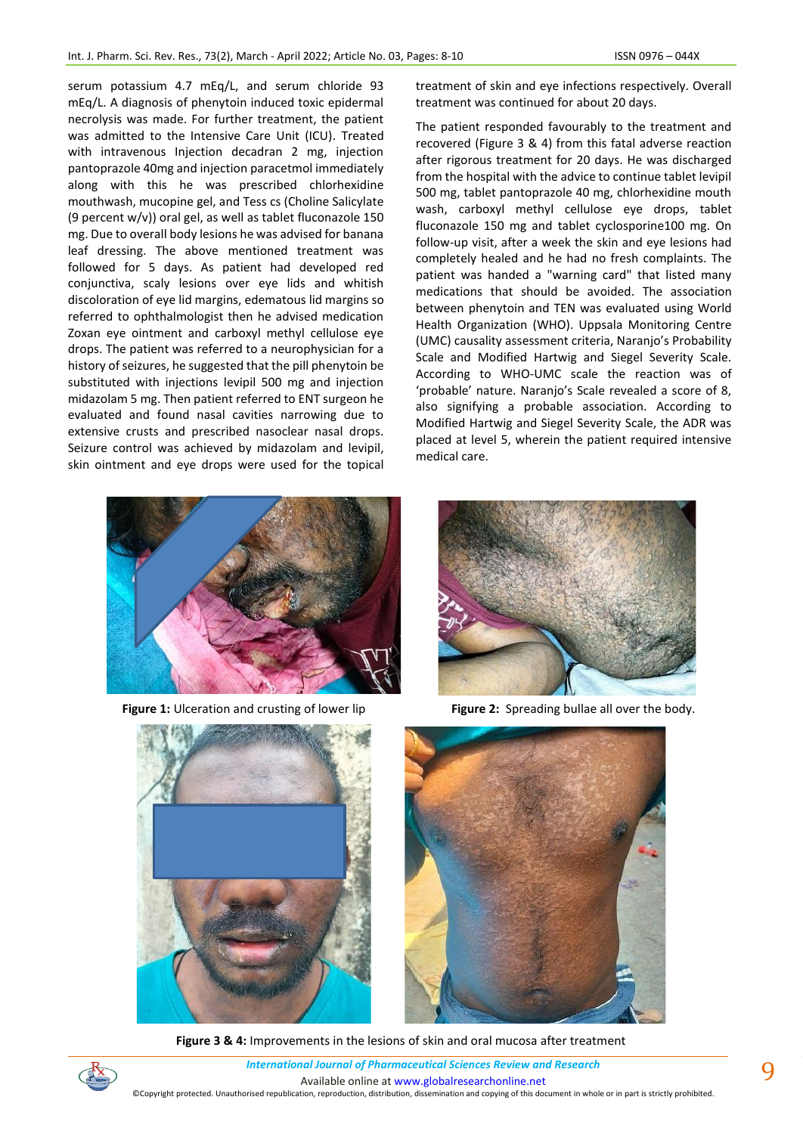serum potassium 4.7 mEq/L, and serum chloride 93 mEq/L. A diagnosis of phenytoin induced toxic epidermal necrolysis was made. For further treatment, the patient was admitted to the Intensive Care Unit (ICU). Treated with intravenous Injection decadran 2 mg, injection pantoprazole 40mg and injection paracetmol immediately along with this he was prescribed chlorhexidine mouthwash, mucopine gel, and Tess cs (Choline Salicylate (9 percent w/v)) oral gel, as well as tablet fluconazole 150 mg. Due to overall body lesions he was advised for banana leaf dressing. The above mentioned treatment was followed for 5 days. As patient had developed red conjunctiva, scaly lesions over eye lids and whitish discoloration of eye lid margins, edematous lid margins so referred to ophthalmologist then he advised medication Zoxan eye ointment and carboxyl methyl cellulose eye drops. The patient was referred to a neurophysician for a history of seizures, he suggested that the pill phenytoin be substituted with injections levipil 500 mg and injection midazolam 5 mg. Then patient referred to ENT surgeon he evaluated and found nasal cavities narrowing due to extensive crusts and prescribed nasoclear nasal drops. Seizure control was achieved by midazolam and levipil, skin ointment and eye drops were used for the topical



The patient responded favourably to the treatment and recovered (Figure 3 & 4) from this fatal adverse reaction after rigorous treatment for 20 days. He was discharged from the hospital with the advice to continue tablet levipil 500 mg, tablet pantoprazole 40 mg, chlorhexidine mouth wash, carboxyl methyl cellulose eye drops, tablet fluconazole 150 mg and tablet cyclosporine100 mg. On follow-up visit, after a week the skin and eye lesions had completely healed and he had no fresh complaints. The patient was handed a "warning card" that listed many medications that should be avoided. The association between phenytoin and TEN was evaluated using World Health Organization (WHO). Uppsala Monitoring Centre (UMC) causality assessment criteria, Naranjo's Probability Scale and Modified Hartwig and Siegel Severity Scale. According to WHO-UMC scale the reaction was of 'probable' nature. Naranjo's Scale revealed a score of 8, also signifying a probable association. According to Modified Hartwig and Siegel Severity Scale, the ADR was placed at level 5, wherein the patient required intensive medical care.



**Figure 1:** Ulceration and crusting of lower lip **Figure 2:** Spreading bullae all over the body.







**Figure 3 & 4:** Improvements in the lesions of skin and oral mucosa after treatment